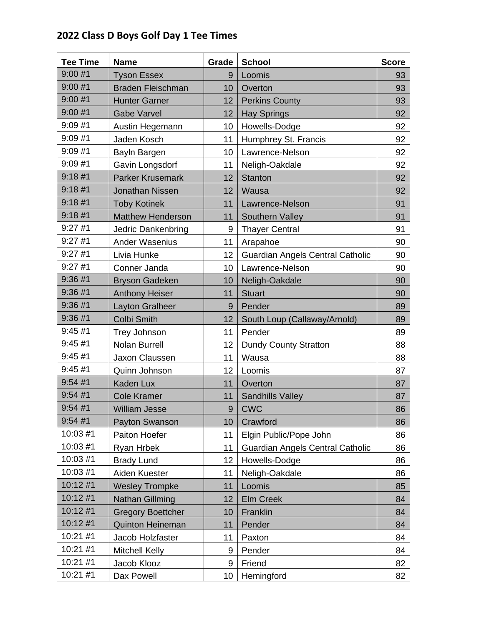## **2022 Class D Boys Golf Day 1 Tee Times**

| <b>Tee Time</b> | <b>Name</b>              | Grade | <b>School</b>                           | <b>Score</b> |
|-----------------|--------------------------|-------|-----------------------------------------|--------------|
| 9:00#1          | <b>Tyson Essex</b>       | 9     | Loomis                                  | 93           |
| 9:00#1          | <b>Braden Fleischman</b> | 10    | Overton                                 | 93           |
| 9:00#1          | <b>Hunter Garner</b>     | 12    | <b>Perkins County</b>                   | 93           |
| 9:00#1          | <b>Gabe Varvel</b>       | 12    | <b>Hay Springs</b>                      | 92           |
| 9:09#1          | Austin Hegemann          | 10    | Howells-Dodge                           | 92           |
| 9:09#1          | Jaden Kosch              | 11    | Humphrey St. Francis                    | 92           |
| 9:09#1          | Bayln Bargen             | 10    | Lawrence-Nelson                         | 92           |
| 9:09#1          | Gavin Longsdorf          | 11    | Neligh-Oakdale                          | 92           |
| 9:18#1          | <b>Parker Krusemark</b>  | 12    | <b>Stanton</b>                          | 92           |
| 9:18#1          | <b>Jonathan Nissen</b>   | 12    | Wausa                                   | 92           |
| 9:18#1          | <b>Toby Kotinek</b>      | 11    | Lawrence-Nelson                         | 91           |
| 9:18#1          | <b>Matthew Henderson</b> | 11    | Southern Valley                         | 91           |
| 9:27#1          | Jedric Dankenbring       | 9     | <b>Thayer Central</b>                   | 91           |
| 9:27#1          | Ander Wasenius           | 11    | Arapahoe                                | 90           |
| 9:27#1          | Livia Hunke              | 12    | <b>Guardian Angels Central Catholic</b> | 90           |
| 9:27#1          | Conner Janda             | 10    | Lawrence-Nelson                         | 90           |
| 9:36#1          | <b>Bryson Gadeken</b>    | 10    | Neligh-Oakdale                          | 90           |
| 9:36#1          | <b>Anthony Heiser</b>    | 11    | <b>Stuart</b>                           | 90           |
| 9:36#1          | <b>Layton Gralheer</b>   | 9     | Pender                                  | 89           |
| 9:36#1          | <b>Colbi Smith</b>       | 12    | South Loup (Callaway/Arnold)            | 89           |
| 9:45#1          | <b>Trey Johnson</b>      | 11    | Pender                                  | 89           |
| 9:45#1          | Nolan Burrell            | 12    | <b>Dundy County Stratton</b>            | 88           |
| 9:45#1          | Jaxon Claussen           | 11    | Wausa                                   | 88           |
| 9:45#1          | Quinn Johnson            | 12    | Loomis                                  | 87           |
| 9:54#1          | Kaden Lux                | 11    | Overton                                 | 87           |
| 9:54#1          | <b>Cole Kramer</b>       | 11    | <b>Sandhills Valley</b>                 | 87           |
| 9:54#1          | <b>William Jesse</b>     | 9     | <b>CWC</b>                              | 86           |
| 9:54#1          | Payton Swanson           | 10    | Crawford                                | 86           |
| 10:03 #1        | Paiton Hoefer            | 11    | Elgin Public/Pope John                  | 86           |
| 10:03 #1        | Ryan Hrbek               | 11    | Guardian Angels Central Catholic        | 86           |
| 10:03 #1        | <b>Brady Lund</b>        | 12    | Howells-Dodge                           | 86           |
| 10:03 #1        | Aiden Kuester            | 11    | Neligh-Oakdale                          | 86           |
| 10:12 #1        | <b>Wesley Trompke</b>    | 11    | Loomis                                  | 85           |
| 10:12 #1        | Nathan Gillming          | 12    | <b>Elm Creek</b>                        | 84           |
| 10:12 #1        | <b>Gregory Boettcher</b> | 10    | Franklin                                | 84           |
| 10:12 #1        | <b>Quinton Heineman</b>  | 11    | Pender                                  | 84           |
| 10:21 #1        | Jacob Holzfaster         | 11    | Paxton                                  | 84           |
| 10:21 #1        | <b>Mitchell Kelly</b>    | 9     | Pender                                  | 84           |
| 10:21 #1        | Jacob Klooz              | 9     | Friend                                  | 82           |
| 10:21 #1        | Dax Powell               | 10    | Hemingford                              | 82           |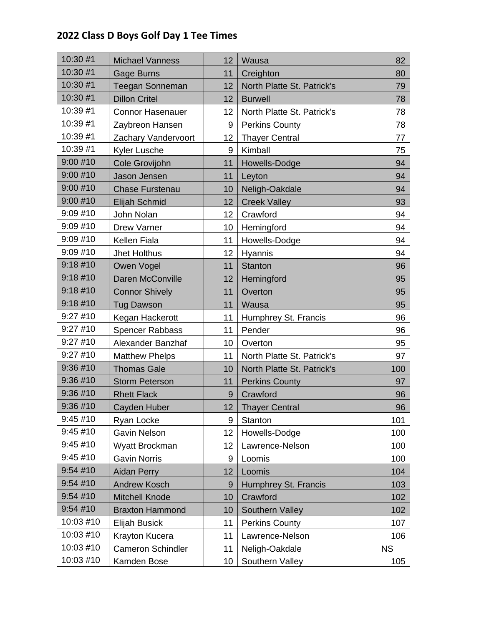## **2022 Class D Boys Golf Day 1 Tee Times**

| 10:30 #1  | <b>Michael Vanness</b>   | 12              | Wausa                      | 82        |
|-----------|--------------------------|-----------------|----------------------------|-----------|
| 10:30 #1  | Gage Burns               | 11              | Creighton                  | 80        |
| 10:30 #1  | <b>Teegan Sonneman</b>   | 12              | North Platte St. Patrick's | 79        |
| 10:30 #1  | <b>Dillon Critel</b>     | 12 <sub>2</sub> | <b>Burwell</b>             | 78        |
| 10:39 #1  | <b>Connor Hasenauer</b>  | 12              | North Platte St. Patrick's | 78        |
| 10:39 #1  | Zaybreon Hansen          | 9               | <b>Perkins County</b>      | 78        |
| 10:39 #1  | Zachary Vandervoort      | 12              | <b>Thayer Central</b>      | 77        |
| 10:39 #1  | Kyler Lusche             | 9               | Kimball                    | 75        |
| 9:00#10   | Cole Grovijohn           | 11              | Howells-Dodge              | 94        |
| 9:00#10   | Jason Jensen             | 11              | Leyton                     | 94        |
| 9:00#10   | <b>Chase Furstenau</b>   | 10              | Neligh-Oakdale             | 94        |
| 9:00#10   | Elijah Schmid            | 12              | <b>Creek Valley</b>        | 93        |
| 9:09#10   | John Nolan               | 12              | Crawford                   | 94        |
| 9:09 #10  | Drew Varner              | 10              | Hemingford                 | 94        |
| 9:09#10   | Kellen Fiala             | 11              | Howells-Dodge              | 94        |
| 9:09#10   | Jhet Holthus             | 12              | Hyannis                    | 94        |
| 9:18#10   | Owen Vogel               | 11              | <b>Stanton</b>             | 96        |
| 9:18#10   | Daren McConville         | 12              | Hemingford                 | 95        |
| 9:18#10   | <b>Connor Shively</b>    | 11              | Overton                    | 95        |
| 9:18#10   | <b>Tug Dawson</b>        | 11              | Wausa                      | 95        |
| 9:27#10   | Kegan Hackerott          | 11              | Humphrey St. Francis       | 96        |
| 9:27#10   | <b>Spencer Rabbass</b>   | 11              | Pender                     | 96        |
| 9:27#10   | Alexander Banzhaf        | 10              | Overton                    | 95        |
| 9:27#10   | <b>Matthew Phelps</b>    | 11              | North Platte St. Patrick's | 97        |
| 9:36#10   | <b>Thomas Gale</b>       | 10              | North Platte St. Patrick's | 100       |
| 9:36 #10  | <b>Storm Peterson</b>    | 11              | <b>Perkins County</b>      | 97        |
| 9:36 #10  | <b>Rhett Flack</b>       | 9               | Crawford                   | 96        |
| 9:36#10   | Cayden Huber             | 12              | <b>Thayer Central</b>      | 96        |
| 9:45#10   | Ryan Locke               | 9               | Stanton                    | 101       |
| 9:45#10   | Gavin Nelson             | 12              | Howells-Dodge              | 100       |
| 9:45 #10  | Wyatt Brockman           | 12              | Lawrence-Nelson            | 100       |
| 9:45 #10  | <b>Gavin Norris</b>      | 9               | Loomis                     | 100       |
| 9:54#10   | <b>Aidan Perry</b>       | 12              | Loomis                     | 104       |
| 9:54#10   | <b>Andrew Kosch</b>      | 9               | Humphrey St. Francis       | 103       |
| 9:54#10   | <b>Mitchell Knode</b>    | 10              | Crawford                   | 102       |
| 9:54#10   | <b>Braxton Hammond</b>   | 10              | Southern Valley            | 102       |
| 10:03 #10 | Elijah Busick            | 11              | <b>Perkins County</b>      | 107       |
| 10:03 #10 | Krayton Kucera           | 11              | Lawrence-Nelson            | 106       |
| 10:03 #10 | <b>Cameron Schindler</b> | 11              | Neligh-Oakdale             | <b>NS</b> |
| 10:03 #10 | Kamden Bose              | 10              | Southern Valley            | 105       |